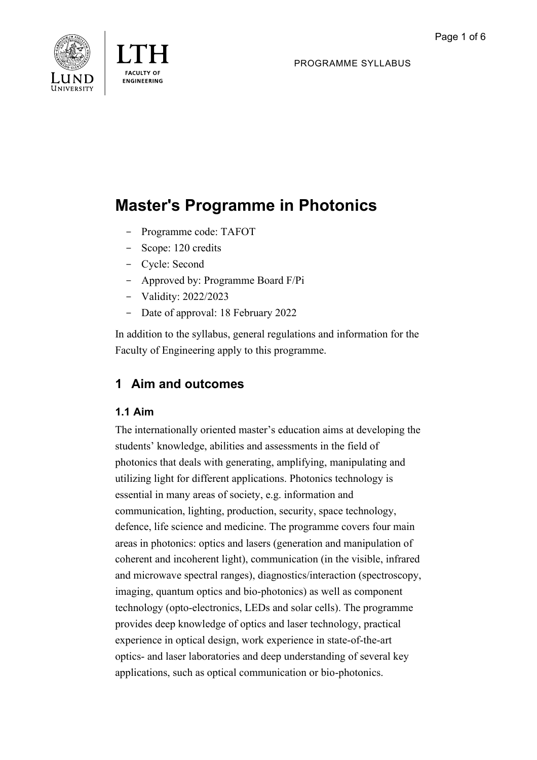PROGRAMME SYLLABUS





# **Master's Programme in Photonics**

- Programme code: TAFOT
- Scope: 120 credits
- Cycle: Second
- Approved by: Programme Board F/Pi
- Validity: 2022/2023
- Date of approval: 18 February 2022

In addition to the syllabus, general regulations and information for the Faculty of Engineering apply to this programme.

## **1 Aim and outcomes**

## **1.1 Aim**

The internationally oriented master's education aims at developing the students' knowledge, abilities and assessments in the field of photonics that deals with generating, amplifying, manipulating and utilizing light for different applications. Photonics technology is essential in many areas of society, e.g. information and communication, lighting, production, security, space technology, defence, life science and medicine. The programme covers four main areas in photonics: optics and lasers (generation and manipulation of coherent and incoherent light), communication (in the visible, infrared and microwave spectral ranges), diagnostics/interaction (spectroscopy, imaging, quantum optics and bio-photonics) as well as component technology (opto-electronics, LEDs and solar cells). The programme provides deep knowledge of optics and laser technology, practical experience in optical design, work experience in state-of-the-art optics- and laser laboratories and deep understanding of several key applications, such as optical communication or bio-photonics.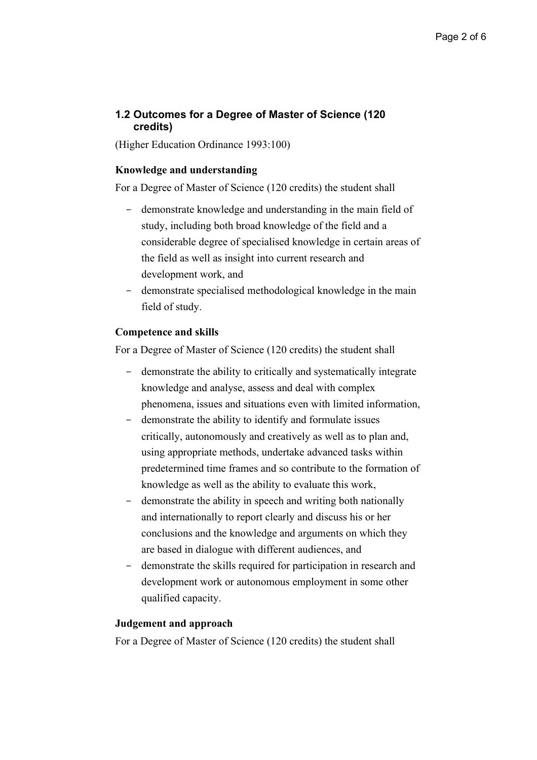## **1.2 Outcomes for a Degree of Master of Science (120 credits)**

(Higher Education Ordinance 1993:100)

#### **Knowledge and understanding**

For a Degree of Master of Science (120 credits) the student shall

- demonstrate knowledge and understanding in the main field of study, including both broad knowledge of the field and a considerable degree of specialised knowledge in certain areas of the field as well as insight into current research and development work, and
- demonstrate specialised methodological knowledge in the main field of study.

#### **Competence and skills**

For a Degree of Master of Science (120 credits) the student shall

- demonstrate the ability to critically and systematically integrate knowledge and analyse, assess and deal with complex phenomena, issues and situations even with limited information,
- demonstrate the ability to identify and formulate issues critically, autonomously and creatively as well as to plan and, using appropriate methods, undertake advanced tasks within predetermined time frames and so contribute to the formation of knowledge as well as the ability to evaluate this work,
- demonstrate the ability in speech and writing both nationally and internationally to report clearly and discuss his or her conclusions and the knowledge and arguments on which they are based in dialogue with different audiences, and
- demonstrate the skills required for participation in research and development work or autonomous employment in some other qualified capacity.

#### **Judgement and approach**

For a Degree of Master of Science (120 credits) the student shall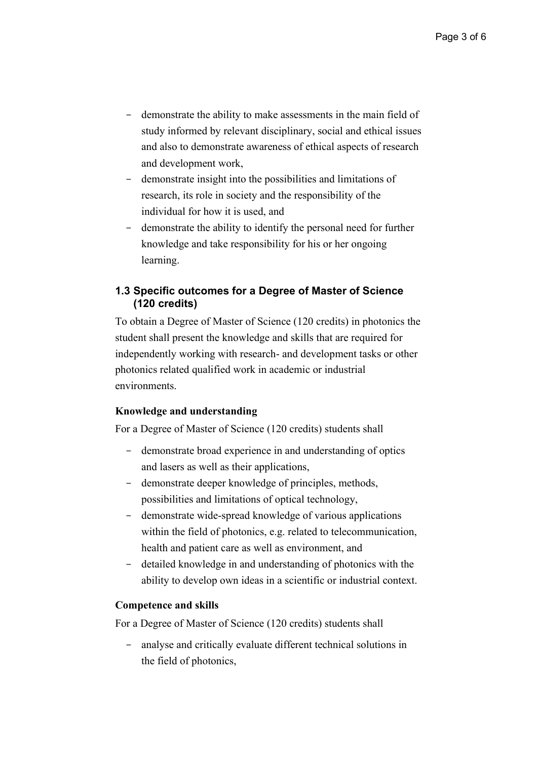- demonstrate the ability to make assessments in the main field of study informed by relevant disciplinary, social and ethical issues and also to demonstrate awareness of ethical aspects of research and development work,
- demonstrate insight into the possibilities and limitations of research, its role in society and the responsibility of the individual for how it is used, and
- demonstrate the ability to identify the personal need for further knowledge and take responsibility for his or her ongoing learning.

## **1.3 Specific outcomes for a Degree of Master of Science (120 credits)**

To obtain a Degree of Master of Science (120 credits) in photonics the student shall present the knowledge and skills that are required for independently working with research- and development tasks or other photonics related qualified work in academic or industrial environments.

#### **Knowledge and understanding**

For a Degree of Master of Science (120 credits) students shall

- demonstrate broad experience in and understanding of optics and lasers as well as their applications,
- demonstrate deeper knowledge of principles, methods, possibilities and limitations of optical technology,
- demonstrate wide-spread knowledge of various applications within the field of photonics, e.g. related to telecommunication, health and patient care as well as environment, and
- detailed knowledge in and understanding of photonics with the ability to develop own ideas in a scientific or industrial context.

#### **Competence and skills**

For a Degree of Master of Science (120 credits) students shall

analyse and critically evaluate different technical solutions in the field of photonics,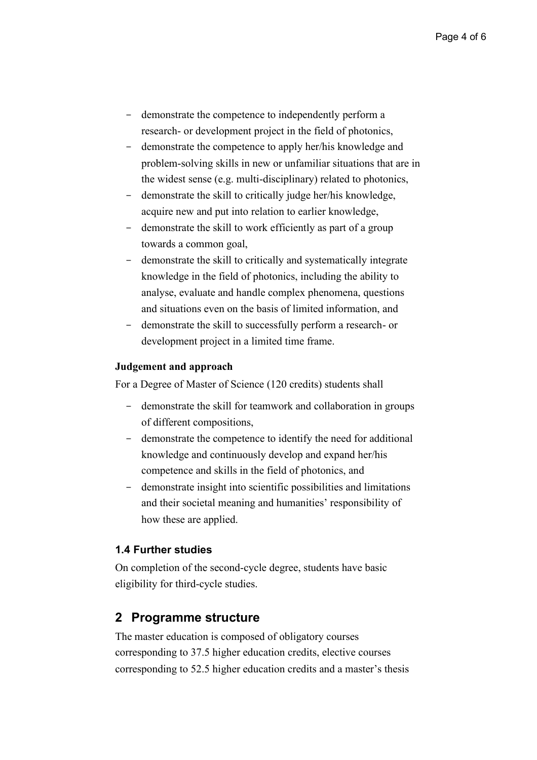- demonstrate the competence to independently perform a research- or development project in the field of photonics,
- demonstrate the competence to apply her/his knowledge and problem-solving skills in new or unfamiliar situations that are in the widest sense (e.g. multi-disciplinary) related to photonics,
- demonstrate the skill to critically judge her/his knowledge, acquire new and put into relation to earlier knowledge,
- demonstrate the skill to work efficiently as part of a group towards a common goal,
- demonstrate the skill to critically and systematically integrate knowledge in the field of photonics, including the ability to analyse, evaluate and handle complex phenomena, questions and situations even on the basis of limited information, and
- demonstrate the skill to successfully perform a research- or development project in a limited time frame.

#### **Judgement and approach**

For a Degree of Master of Science (120 credits) students shall

- demonstrate the skill for teamwork and collaboration in groups of different compositions,
- demonstrate the competence to identify the need for additional knowledge and continuously develop and expand her/his competence and skills in the field of photonics, and
- demonstrate insight into scientific possibilities and limitations and their societal meaning and humanities' responsibility of how these are applied.

#### **1.4 Further studies**

On completion of the second-cycle degree, students have basic eligibility for third-cycle studies.

## **2 Programme structure**

The master education is composed of obligatory courses corresponding to 37.5 higher education credits, elective courses corresponding to 52.5 higher education credits and a master's thesis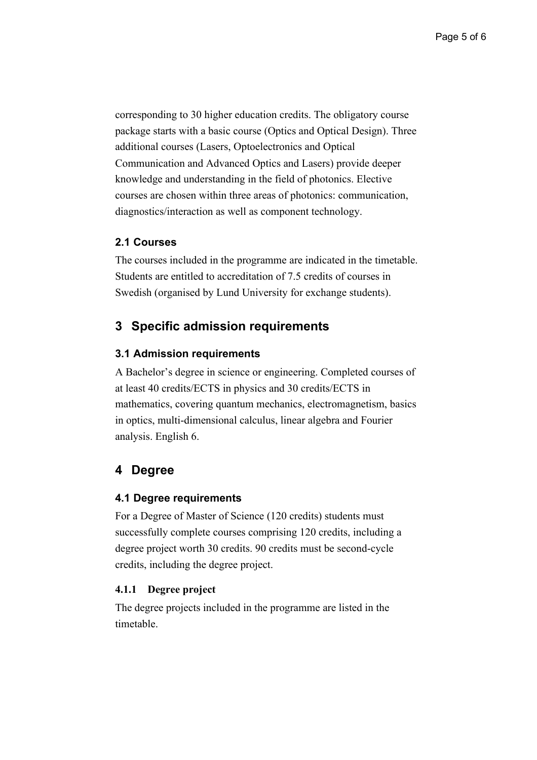corresponding to 30 higher education credits. The obligatory course package starts with a basic course (Optics and Optical Design). Three additional courses (Lasers, Optoelectronics and Optical Communication and Advanced Optics and Lasers) provide deeper knowledge and understanding in the field of photonics. Elective courses are chosen within three areas of photonics: communication, diagnostics/interaction as well as component technology.

#### **2.1 Courses**

The courses included in the programme are indicated in the timetable. Students are entitled to accreditation of 7.5 credits of courses in Swedish (organised by Lund University for exchange students).

## **3 Specific admission requirements**

#### **3.1 Admission requirements**

A Bachelor's degree in science or engineering. Completed courses of at least 40 credits/ECTS in physics and 30 credits/ECTS in mathematics, covering quantum mechanics, electromagnetism, basics in optics, multi-dimensional calculus, linear algebra and Fourier analysis. English 6.

## **4 Degree**

#### **4.1 Degree requirements**

For a Degree of Master of Science (120 credits) students must successfully complete courses comprising 120 credits, including a degree project worth 30 credits. 90 credits must be second-cycle credits, including the degree project.

#### **4.1.1 Degree project**

The degree projects included in the programme are listed in the timetable.